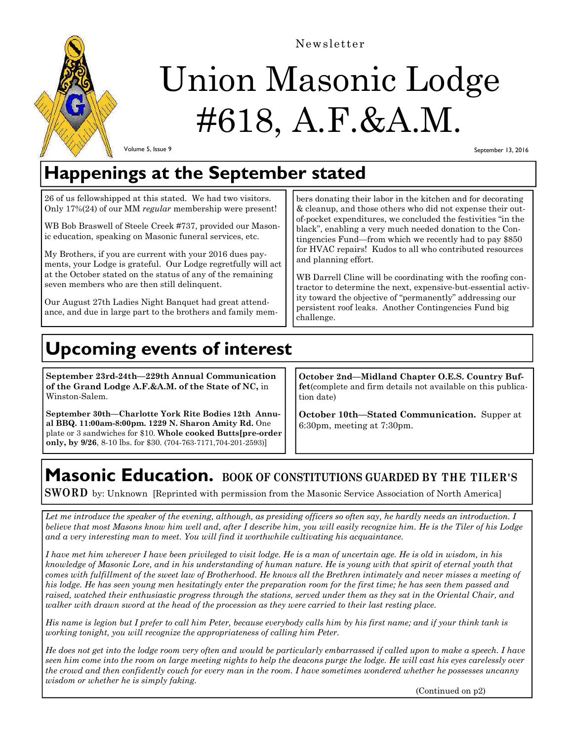

Newsletter

# Union Masonic Lodge #618, A.F.&A.M.

Volume 5, Issue 9

September 13, 2016

## **Happenings at the September stated**

26 of us fellowshipped at this stated. We had two visitors. Only 17%(24) of our MM *regular* membership were present!

WB Bob Braswell of Steele Creek #737, provided our Masonic education, speaking on Masonic funeral services, etc.

My Brothers, if you are current with your 2016 dues payments, your Lodge is grateful. Our Lodge regretfully will act at the October stated on the status of any of the remaining seven members who are then still delinquent.

Our August 27th Ladies Night Banquet had great attendance, and due in large part to the brothers and family mem-

bers donating their labor in the kitchen and for decorating & cleanup, and those others who did not expense their outof-pocket expenditures, we concluded the festivities "in the black", enabling a very much needed donation to the Contingencies Fund—from which we recently had to pay \$850 for HVAC repairs! Kudos to all who contributed resources and planning effort.

WB Darrell Cline will be coordinating with the roofing contractor to determine the next, expensive-but-essential activity toward the objective of "permanently" addressing our persistent roof leaks. Another Contingencies Fund big challenge.

## **Upcoming events of interest**

**September 23rd-24th—229th Annual Communication of the Grand Lodge A.F.&A.M. of the State of NC,** in Winston-Salem.

**September 30th—Charlotte York Rite Bodies 12th Annual BBQ. 11:00am-8:00pm. 1229 N. Sharon Amity Rd.** One plate or 3 sandwiches for \$10. **Whole cooked Butts[pre-order only, by 9/26**, 8-10 lbs. for \$30. (704-763-7171,704-201-2593)]

**October 2nd—Midland Chapter O.E.S. Country Buffet**(complete and firm details not available on this publication date)

**October 10th—Stated Communication.** Supper at 6:30pm, meeting at 7:30pm.

## **Masonic Education. BOOK OF CONSTITUTIONS GUARDED BY THE TILER'S**

**SWORD** by: Unknown [Reprinted with permission from the Masonic Service Association of North America]

*Let me introduce the speaker of the evening, although, as presiding officers so often say, he hardly needs an introduction. I believe that most Masons know him well and, after I describe him, you will easily recognize him. He is the Tiler of his Lodge and a very interesting man to meet. You will find it worthwhile cultivating his acquaintance.* 

*I have met him wherever I have been privileged to visit lodge. He is a man of uncertain age. He is old in wisdom, in his knowledge of Masonic Lore, and in his understanding of human nature. He is young with that spirit of eternal youth that comes with fulfillment of the sweet law of Brotherhood. He knows all the Brethren intimately and never misses a meeting of his lodge. He has seen young men hesitatingly enter the preparation room for the first time; he has seen them passed and raised, watched their enthusiastic progress through the stations, served under them as they sat in the Oriental Chair, and walker with drawn sword at the head of the procession as they were carried to their last resting place.* 

*His name is legion but I prefer to call him Peter, because everybody calls him by his first name; and if your think tank is working tonight, you will recognize the appropriateness of calling him Peter.* 

*He does not get into the lodge room very often and would be particularly embarrassed if called upon to make a speech. I have seen him come into the room on large meeting nights to help the deacons purge the lodge. He will cast his eyes carelessly over the crowd and then confidently couch for every man in the room. I have sometimes wondered whether he possesses uncanny wisdom or whether he is simply faking.* 

(Continued on p2)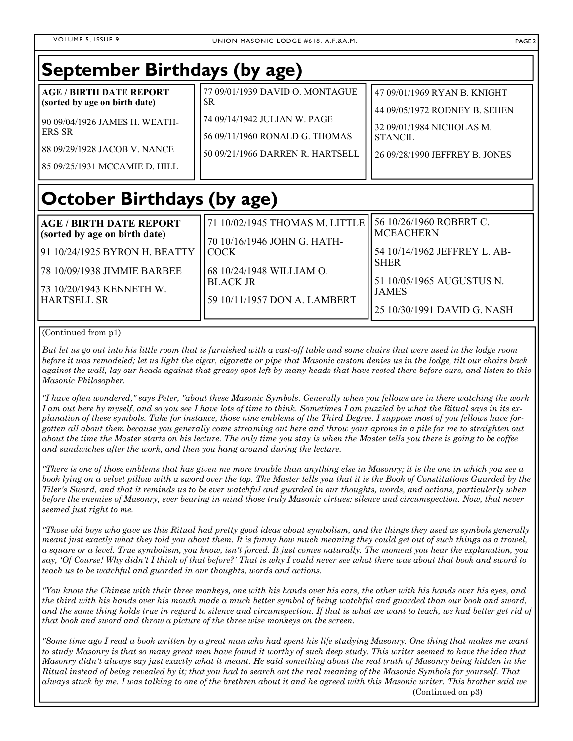| <b>September Birthdays (by age)</b>                                                                                                                                           |                                                                                                                                                    |                                                                                                                                                |  |
|-------------------------------------------------------------------------------------------------------------------------------------------------------------------------------|----------------------------------------------------------------------------------------------------------------------------------------------------|------------------------------------------------------------------------------------------------------------------------------------------------|--|
| <b>AGE / BIRTH DATE REPORT</b><br>(sorted by age on birth date)<br>90 09/04/1926 JAMES H. WEATH-<br>I ERS SR<br>88 09/29/1928 JACOB V. NANCE<br>85 09/25/1931 MCCAMIE D. HILL | 77 09/01/1939 DAVID O. MONTAGUE<br><b>SR</b><br>74 09/14/1942 JULIAN W. PAGE<br>56 09/11/1960 RONALD G. THOMAS<br>50 09/21/1966 DARREN R. HARTSELL | 47 09/01/1969 RYAN B. KNIGHT<br>44 09/05/1972 RODNEY B. SEHEN<br>32 09/01/1984 NICHOLAS M.<br><b>STANCIL</b><br>26 09/28/1990 JEFFREY B. JONES |  |
| October Birthdays (by age)                                                                                                                                                    |                                                                                                                                                    |                                                                                                                                                |  |

| <b>AGE / BIRTH DATE REPORT</b><br>(sorted by age on birth date)<br>91 10/24/1925 BYRON H. BEATTY | 71 10/02/1945 THOMAS M. LITTLE<br>70 10/16/1946 JOHN G. HATH-<br><b>COCK</b><br>68 10/24/1948 WILLIAM O.<br><b>BLACK JR</b><br>59 10/11/1957 DON A. LAMBERT | 56 10/26/1960 ROBERT C.<br><b>MCEACHERN</b><br>54 10/14/1962 JEFFREY L. AB-<br><b>SHER</b> |
|--------------------------------------------------------------------------------------------------|-------------------------------------------------------------------------------------------------------------------------------------------------------------|--------------------------------------------------------------------------------------------|
| [78 10/09/1938 JIMMIE BARBEE<br>[73 10/20/1943 KENNETH W.<br>HARTSELL SR                         |                                                                                                                                                             | 51 10/05/1965 AUGUSTUS N.<br><b>LIAMES</b><br>25 10/30/1991 DAVID G. NASH                  |

#### (Continued from p1)

*But let us go out into his little room that is furnished with a cast-off table and some chairs that were used in the lodge room before it was remodeled; let us light the cigar, cigarette or pipe that Masonic custom denies us in the lodge, tilt our chairs back against the wall, lay our heads against that greasy spot left by many heads that have rested there before ours, and listen to this Masonic Philosopher.* 

*"I have often wondered," says Peter, "about these Masonic Symbols. Generally when you fellows are in there watching the work I am out here by myself, and so you see I have lots of time to think. Sometimes I am puzzled by what the Ritual says in its explanation of these symbols. Take for instance, those nine emblems of the Third Degree. I suppose most of you fellows have forgotten all about them because you generally come streaming out here and throw your aprons in a pile for me to straighten out about the time the Master starts on his lecture. The only time you stay is when the Master tells you there is going to be coffee*  and sandwiches after the work, and then you hang around during the lecture.

*"There is one of those emblems that has given me more trouble than anything else in Masonry; it is the one in which you see a book lying on a velvet pillow with a sword over the top. The Master tells you that it is the Book of Constitutions Guarded by the Tiler's Sword, and that it reminds us to be ever watchful and guarded in our thoughts, words, and actions, particularly when before the enemies of Masonry, ever bearing in mind those truly Masonic virtues: silence and circumspection. Now, that never seemed just right to me.* 

*"Those old boys who gave us this Ritual had pretty good ideas about symbolism, and the things they used as symbols generally meant just exactly what they told you about them. It is funny how much meaning they could get out of such things as a trowel, a square or a level. True symbolism, you know, isn't forced. It just comes naturally. The moment you hear the explanation, you say, 'Of Course! Why didn't I think of that before?' That is why I could never see what there was about that book and sword to teach us to be watchful and guarded in our thoughts, words and actions.* 

*"You know the Chinese with their three monkeys, one with his hands over his ears, the other with his hands over his eyes, and the third with his hands over his mouth made a much better symbol of being watchful and guarded than our book and sword,*  and the same thing holds true in regard to silence and circumspection. If that is what we want to teach, we had better get rid of *that book and sword and throw a picture of the three wise monkeys on the screen.* 

*"Some time ago I read a book written by a great man who had spent his life studying Masonry. One thing that makes me want to study Masonry is that so many great men have found it worthy of such deep study. This writer seemed to have the idea that Masonry didn't always say just exactly what it meant. He said something about the real truth of Masonry being hidden in the Ritual instead of being revealed by it; that you had to search out the real meaning of the Masonic Symbols for yourself. That always stuck by me. I was talking to one of the brethren about it and he agreed with this Masonic writer. This brother said we* (Continued on p3)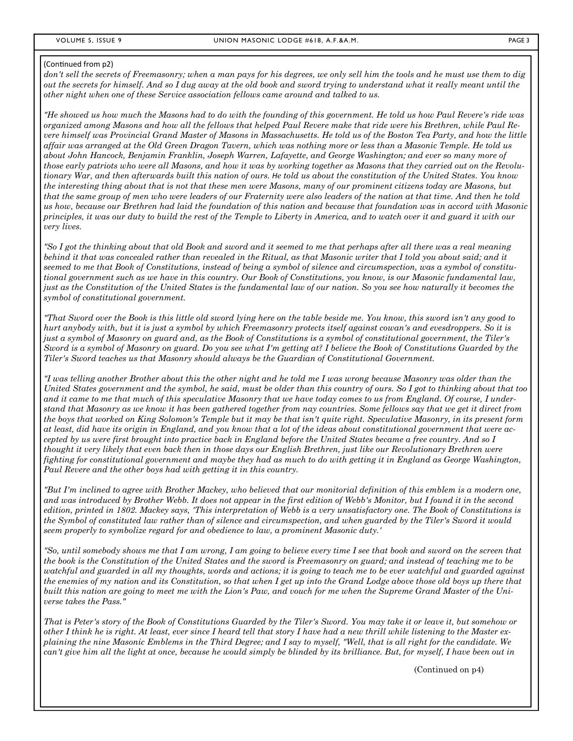#### (Continued from p2)

*don't sell the secrets of Freemasonry; when a man pays for his degrees, we only sell him the tools and he must use them to dig out the secrets for himself. And so I dug away at the old book and sword trying to understand what it really meant until the other night when one of these Service association fellows came around and talked to us.* 

*"He showed us how much the Masons had to do with the founding of this government. He told us how Paul Revere's ride was organized among Masons and how all the fellows that helped Paul Revere make that ride were his Brethren, while Paul Revere himself was Provincial Grand Master of Masons in Massachusetts. He told us of the Boston Tea Party, and how the little affair was arranged at the Old Green Dragon Tavern, which was nothing more or less than a Masonic Temple. He told us about John Hancock, Benjamin Franklin, Joseph Warren, Lafayette, and George Washington; and ever so many more of those early patriots who were all Masons, and how it was by working together as Masons that they carried out on the Revolutionary War, and then afterwards built this nation of ours. He told us about the constitution of the United States. You know the interesting thing about that is not that these men were Masons, many of our prominent citizens today are Masons, but that the same group of men who were leaders of our Fraternity were also leaders of the nation at that time. And then he told us how, because our Brethren had laid the foundation of this nation and because that foundation was in accord with Masonic principles, it was our duty to build the rest of the Temple to Liberty in America, and to watch over it and guard it with our very lives.* 

*"So I got the thinking about that old Book and sword and it seemed to me that perhaps after all there was a real meaning behind it that was concealed rather than revealed in the Ritual, as that Masonic writer that I told you about said; and it seemed to me that Book of Constitutions, instead of being a symbol of silence and circumspection, was a symbol of constitutional government such as we have in this country. Our Book of Constitutions, you know, is our Masonic fundamental law, just as the Constitution of the United States is the fundamental law of our nation. So you see how naturally it becomes the symbol of constitutional government.* 

*"That Sword over the Book is this little old sword lying here on the table beside me. You know, this sword isn't any good to hurt anybody with, but it is just a symbol by which Freemasonry protects itself against cowan's and evesdroppers. So it is just a symbol of Masonry on guard and, as the Book of Constitutions is a symbol of constitutional government, the Tiler's Sword is a symbol of Masonry on guard. Do you see what I'm getting at? I believe the Book of Constitutions Guarded by the Tiler's Sword teaches us that Masonry should always be the Guardian of Constitutional Government.* 

*"I was telling another Brother about this the other night and he told me I was wrong because Masonry was older than the United States government and the symbol, he said, must be older than this country of ours. So I got to thinking about that too and it came to me that much of this speculative Masonry that we have today comes to us from England. Of course, I understand that Masonry as we know it has been gathered together from nay countries. Some fellows say that we get it direct from the boys that worked on King Solomon's Temple but it may be that isn't quite right. Speculative Masonry, in its present form at least, did have its origin in England, and you know that a lot of the ideas about constitutional government that were accepted by us were first brought into practice back in England before the United States became a free country. And so I thought it very likely that even back then in those days our English Brethren, just like our Revolutionary Brethren were fighting for constitutional government and maybe they had as much to do with getting it in England as George Washington, Paul Revere and the other boys had with getting it in this country.* 

*"But I'm inclined to agree with Brother Mackey, who believed that our monitorial definition of this emblem is a modern one, and was introduced by Brother Webb. It does not appear in the first edition of Webb's Monitor, but I found it in the second edition, printed in 1802. Mackey says, 'This interpretation of Webb is a very unsatisfactory one. The Book of Constitutions is the Symbol of constituted law rather than of silence and circumspection, and when guarded by the Tiler's Sword it would seem properly to symbolize regard for and obedience to law, a prominent Masonic duty.'* 

*"So, until somebody shows me that I am wrong, I am going to believe every time I see that book and sword on the screen that the book is the Constitution of the United States and the sword is Freemasonry on guard; and instead of teaching me to be watchful and guarded in all my thoughts, words and actions; it is going to teach me to be ever watchful and guarded against the enemies of my nation and its Constitution, so that when I get up into the Grand Lodge above those old boys up there that built this nation are going to meet me with the Lion's Paw, and vouch for me when the Supreme Grand Master of the Universe takes the Pass."* 

*That is Peter's story of the Book of Constitutions Guarded by the Tiler's Sword. You may take it or leave it, but somehow or other I think he is right. At least, ever since I heard tell that story I have had a new thrill while listening to the Master explaining the nine Masonic Emblems in the Third Degree; and I say to myself, "Well, that is all right for the candidate. We can't give him all the light at once, because he would simply be blinded by its brilliance. But, for myself, I have been out in*

(Continued on p4)